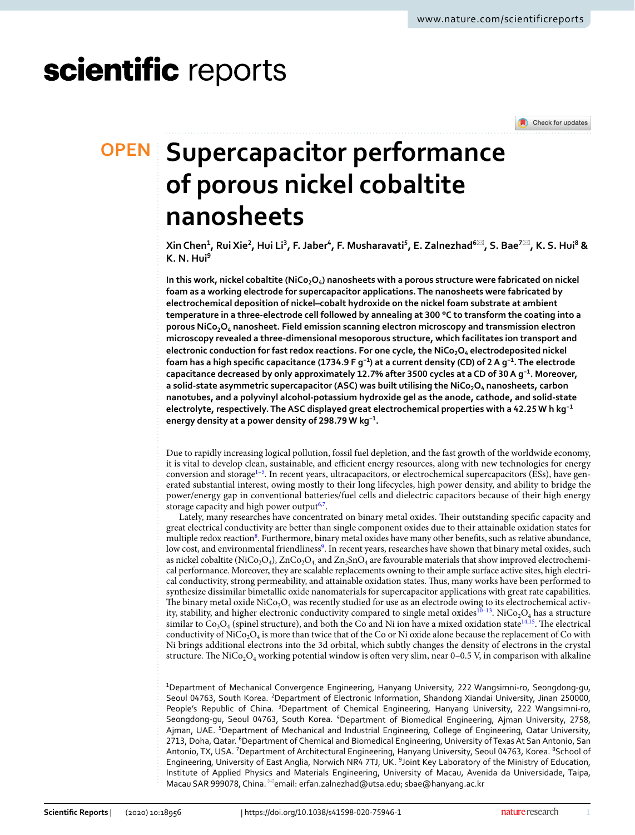# scientific reports

Check for updates

# **Supercapacitor performance OPEN of porous nickel cobaltite nanosheets**

**Xin Chen<sup>1</sup> , Rui Xie<sup>2</sup> , Hui Li<sup>3</sup> , F. Jaber<sup>4</sup> , F. Musharavati<sup>5</sup> , E. Zalnezhad<sup>6</sup>**\***, S. Bae<sup>7</sup>**\***, K. S. Hui<sup>8</sup> & K. N. Hui<sup>9</sup>**

**In this work, nickel cobaltite (NiCo2O<sup>4</sup> ) nanosheets with a porous structure were fabricated on nickel foam as a working electrode for supercapacitor applications. The nanosheets were fabricated by electrochemical deposition of nickel–cobalt hydroxide on the nickel foam substrate at ambient temperature in a three-electrode cell followed by annealing at 300 °C to transform the coating into a porous NiCo2O<sup>4</sup> nanosheet. Field emission scanning electron microscopy and transmission electron microscopy revealed a three-dimensional mesoporous structure, which facilitates ion transport and electronic conduction for fast redox reactions. For one cycle, the NiCo2O<sup>4</sup> electrodeposited nickel foam has a high specific capacitance (1734.9 F g−1) at a current density (CD) of 2 A g−1. The electrode capacitance decreased by only approximately 12.7% after 3500 cycles at a CD of 30 A g−1. Moreover, a solid-state asymmetric supercapacitor (ASC) was built utilising the NiCo2O<sup>4</sup> nanosheets, carbon nanotubes, and a polyvinyl alcohol-potassium hydroxide gel as the anode, cathode, and solid-state electrolyte, respectively. The ASC displayed great electrochemical properties with a 42.25 W h kg−1 energy density at a power density of 298.79 W kg−1 .**

Due to rapidly increasing logical pollution, fossil fuel depletion, and the fast growth of the worldwide economy, it is vital to develop clean, sustainable, and efficient energy resources, along with new technologies for energy conversion and storage<sup>[1](#page-11-0)-5</sup>. In recent years, ultracapacitors, or electrochemical supercapacitors (ESs), have generated substantial interest, owing mostly to their long lifecycles, high power density, and ability to bridge the power/energy gap in conventional batteries/fuel cells and dielectric capacitors because of their high energy storage capacity and high power output<sup>[6](#page-11-2)[,7](#page-11-3)</sup>.

Lately, many researches have concentrated on binary metal oxides. Their outstanding specific capacity and great electrical conductivity are better than single component oxides due to their attainable oxidation states for multiple redox reaction<sup>[8](#page-11-4)</sup>. Furthermore, binary metal oxides have many other benefits, such as relative abundance, low cost, and environmental friendliness<sup>[9](#page-11-5)</sup>. In recent years, researches have shown that binary metal oxides, such as nickel cobaltite (NiCo<sub>2</sub>O<sub>4</sub>), ZnCo<sub>2</sub>O<sub>4,</sub> and Zn<sub>2</sub>SnO<sub>4</sub> are favourable materials that show improved electrochemical performance. Moreover, they are scalable replacements owning to their ample surface active sites, high electrical conductivity, strong permeability, and attainable oxidation states. Thus, many works have been performed to synthesize dissimilar bimetallic oxide nanomaterials for supercapacitor applications with great rate capabilities. The binary metal oxide NiCo<sub>2</sub>O<sub>4</sub> was recently studied for use as an electrode owing to its electrochemical activ-ity, stability, and higher electronic conductivity compared to single metal oxides<sup>[10–](#page-11-6)[13](#page-11-7)</sup>. NiCo<sub>2</sub>O<sub>4</sub> has a structure similar to  $Co_3O_4$  (spinel structure), and both the Co and Ni ion have a mixed oxidation state $^{14,15}$  $^{14,15}$  $^{14,15}$  $^{14,15}$ . The electrical conductivity of NiCo<sub>2</sub>O<sub>4</sub> is more than twice that of the Co or Ni oxide alone because the replacement of Co with Ni brings additional electrons into the 3d orbital, which subtly changes the density of electrons in the crystal structure. The NiCo $_2$ O<sub>4</sub> working potential window is often very slim, near 0–0.5 V, in comparison with alkaline

<sup>1</sup>Department of Mechanical Convergence Engineering, Hanyang University, 222 Wangsimni-ro, Seongdong-gu, Seoul 04763, South Korea. <sup>2</sup>Department of Electronic Information, Shandong Xiandai University, Jinan 250000, People's Republic of China. <sup>3</sup>Department of Chemical Engineering, Hanyang University, 222 Wangsimni-ro, Seongdong-gu, Seoul 04763, South Korea. <sup>4</sup>Department of Biomedical Engineering, Ajman University, 2758, Ajman, UAE. <sup>5</sup>Department of Mechanical and Industrial Engineering, College of Engineering, Qatar University, 2713, Doha, Qatar. <sup>6</sup>Department of Chemical and Biomedical Engineering, University of Texas At San Antonio, San Antonio, TX, USA. <sup>7</sup>Department of Architectural Engineering, Hanyang University, Seoul 04763, Korea. <sup>8</sup>School of Engineering, University of East Anglia, Norwich NR4 7TJ, UK. <sup>9</sup>Joint Key Laboratory of the Ministry of Education, Institute of Applied Physics and Materials Engineering, University of Macau, Avenida da Universidade, Taipa, Macau SAR 999078, China. <sup>⊠</sup>email: erfan.zalnezhad@utsa.edu; sbae@hanyang.ac.kr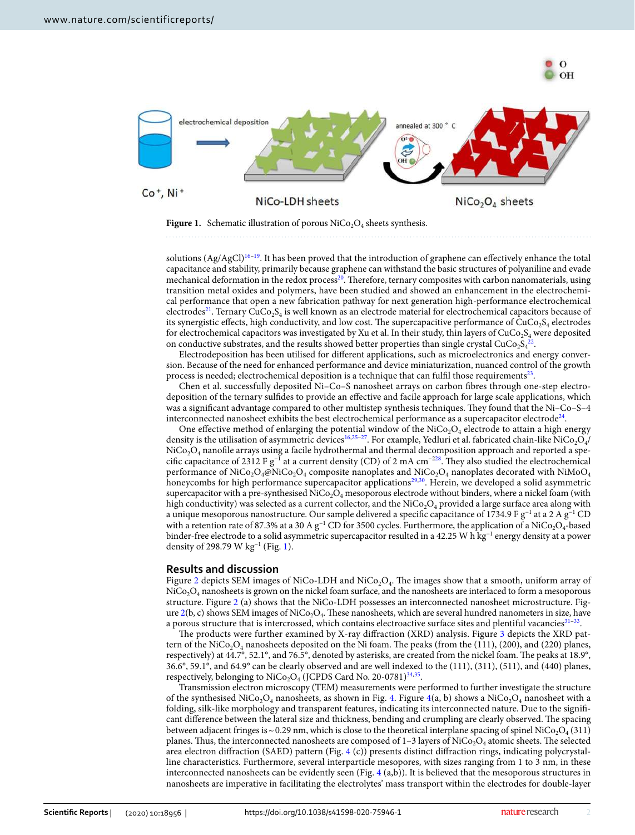

<span id="page-1-0"></span>**Figure 1.** Schematic illustration of porous  $\text{NiCo}_2\text{O}_4$  sheets synthesis.

solutions  $(Ag/AgCl)^{16-19}$  $(Ag/AgCl)^{16-19}$  $(Ag/AgCl)^{16-19}$ . It has been proved that the introduction of graphene can effectively enhance the total capacitance and stability, primarily because graphene can withstand the basic structures of polyaniline and evade mechanical deformation in the redox process<sup>[20](#page-11-12)</sup>. Therefore, ternary composites with carbon nanomaterials, using transition metal oxides and polymers, have been studied and showed an enhancement in the electrochemical performance that open a new fabrication pathway for next generation high-performance electrochemical electrodes<sup>[21](#page-11-13)</sup>. Ternary CuCo<sub>2</sub>S<sub>4</sub> is well known as an electrode material for electrochemical capacitors because of its synergistic effects, high conductivity, and low cost. The supercapacitive performance of  $\rm CuCo_2S_4$  electrodes for electrochemical capacitors was investigated by Xu et al. In their study, thin layers of CuCo<sub>2</sub>S<sub>4</sub> were deposited on conductive substrates, and the results showed better properties than single crystal CuCo<sub>2</sub>S<sub>4</sub><sup>[22](#page-11-14)</sup> .

Electrodeposition has been utilised for different applications, such as microelectronics and energy conversion. Because of the need for enhanced performance and device miniaturization, nuanced control of the growth process is needed; electrochemical deposition is a technique that can fulfil those requirements $^{\scriptstyle 23}$  $^{\scriptstyle 23}$  $^{\scriptstyle 23}$ .

Chen et al. successfully deposited Ni–Co–S nanosheet arrays on carbon fibres through one-step electrodeposition of the ternary sulfides to provide an effective and facile approach for large scale applications, which was a significant advantage compared to other multistep synthesis techniques. They found that the Ni–Co–S–4 interconnected nanosheet exhibits the best electrochemical performance as a supercapacitor electrode<sup>[24](#page-11-16)</sup>.

One effective method of enlarging the potential window of the NiCo<sub>2</sub>O<sub>4</sub> electrode to attain a high energy density is the utilisation of asymmetric devices<sup>[16,](#page-11-10)25-[27](#page-11-18)</sup>. For example, Yedluri et al. fabricated chain-like  $\rm NiCo_2O_4/$  $\rm NiCo_2O_4$  nanofile arrays using a facile hydrothermal and thermal decomposition approach and reported a specific capacitance of 2312 F g−1 at a current density (CD) of 2 mA cm−[228](#page-11-19). They also studied the electrochemical performance of NiCo<sub>2</sub>O<sub>4</sub>@NiCo<sub>2</sub>O<sub>4</sub> composite nanoplates and NiCo<sub>2</sub>O<sub>4</sub> nanoplates decorated with NiMoO<sub>4</sub> honeycombs for high performance supercapacitor applications<sup>[29](#page-11-20),[30](#page-11-21)</sup>. Herein, we developed a solid asymmetric supercapacitor with a pre-synthesised NiCo $_2$ O<sub>4</sub> mesoporous electrode without binders, where a nickel foam (with high conductivity) was selected as a current collector, and the  $\rm{NiCo_2O_4}$  provided a large surface area along with a unique mesoporous nanostructure. Our sample delivered a specific capacitance of 1734.9 F g−1 at a 2 A g−1 CD with a retention rate of 87.3% at a 30 A g<sup>-1</sup> CD for 3500 cycles. Furthermore, the application of a NiCo<sub>2</sub>O<sub>4</sub>-based binder-free electrode to a solid asymmetric supercapacitor resulted in a 42.25 W h kg−1 energy density at a power density of 298.79 W kg<sup>-[1](#page-1-0)</sup> (Fig. 1).

### **Results and discussion**

Figure [2](#page-2-0) depicts SEM images of NiCo-LDH and NiCo<sub>2</sub>O<sub>4</sub>. The images show that a smooth, uniform array of  $\rm NiCo_2O_4$  nanosheets is grown on the nickel foam surface, and the nanosheets are interlaced to form a mesoporous structure. Figure [2](#page-2-0) (a) shows that the NiCo-LDH possesses an interconnected nanosheet microstructure. Fig-ure [2\(](#page-2-0)b, c) shows SEM images of NiCo<sub>2</sub>O<sub>4</sub>. These nanosheets, which are several hundred nanometers in size, have a porous structure that is intercrossed, which contains electroactive surface sites and plentiful vacancies $^{31-33}$  $^{31-33}$  $^{31-33}$ .

The products were further examined by X-ray diffraction (XRD) analysis. Figure [3](#page-2-1) depicts the XRD pattern of the NiCo<sub>2</sub>O<sub>4</sub> nanosheets deposited on the Ni foam. The peaks (from the (111), (200), and (220) planes, respectively) at 44.7°, 52.1°, and 76.5°, denoted by asterisks, are created from the nickel foam. The peaks at 18.9°, 36.6°, 59.1°, and 64.9° can be clearly observed and are well indexed to the (111), (311), (511), and (440) planes, respectively, belonging to  $\rm{NiCo_2O_4}$  (JCPDS Card No. 20-0781)<sup>[34](#page-11-24),[35](#page-11-25)</sup>.

Transmission electron microscopy (TEM) measurements were performed to further investigate the structure of the synthesised NiCo<sub>2</sub>O<sub>4</sub> nanosheets, as shown in Fig. [4.](#page-3-0) Figure [4](#page-3-0)(a, b) shows a NiCo<sub>2</sub>O<sub>4</sub> nanosheet with a folding, silk-like morphology and transparent features, indicating its interconnected nature. Due to the significant difference between the lateral size and thickness, bending and crumpling are clearly observed. The spacing between adjacent fringes is ~ 0.29 nm, which is close to the theoretical interplane spacing of spinel  $\rm NiCo_2O_4$  (311) planes. Thus, the interconnected nanosheets are composed of 1–3 layers of NiCo<sub>2</sub>O<sub>4</sub> atomic sheets. The selected area electron diffraction (SAED) pattern (Fig. [4](#page-3-0) (c)) presents distinct diffraction rings, indicating polycrystalline characteristics. Furthermore, several interparticle mesopores, with sizes ranging from 1 to 3 nm, in these interconnected nanosheets can be evidently seen (Fig. [4](#page-3-0) (a,b)). It is believed that the mesoporous structures in nanosheets are imperative in facilitating the electrolytes' mass transport within the electrodes for double-layer

2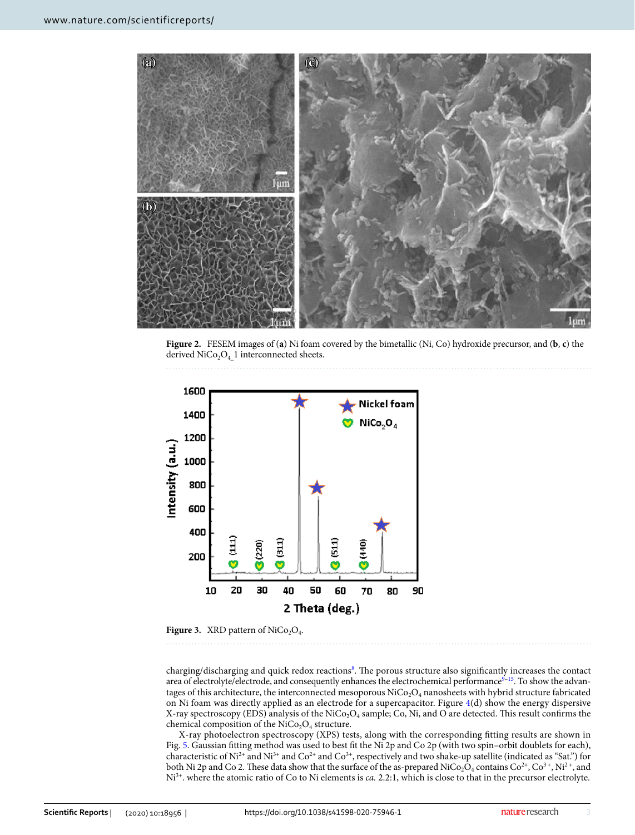

<span id="page-2-0"></span>**Figure 2.** FESEM images of (**a**) Ni foam covered by the bimetallic (Ni, Co) hydroxide precursor, and (**b**, **c**) the derived  $NiCo<sub>2</sub>O<sub>4</sub>$  1 interconnected sheets.



<span id="page-2-1"></span>**Figure 3.** XRD pattern of  $NiCo<sub>2</sub>O<sub>4</sub>$ .

charging/discharging and quick redox reactions<sup>[8](#page-11-4)</sup>. The porous structure also significantly increases the contact area of electrolyte/electrode, and consequently enhances the electrochemical performance $9-15$  $9-15$ . To show the advantages of this architecture, the interconnected mesoporous NiCo<sub>2</sub>O<sub>4</sub> nanosheets with hybrid structure fabricated on Ni foam was directly applied as an electrode for a supercapacitor. Figure [4](#page-3-0)(d) show the energy dispersive X-ray spectroscopy (EDS) analysis of the NiCo<sub>2</sub>O<sub>4</sub> sample; Co, Ni, and O are detected. This result confirms the chemical composition of the  $\rm NiCo_2O_4$  structure.

X-ray photoelectron spectroscopy (XPS) tests, along with the corresponding fitting results are shown in Fig. [5.](#page-4-0) Gaussian fitting method was used to best fit the Ni 2p and Co 2p (with two spin–orbit doublets for each), characteristic of Ni<sup>2+</sup> and Ni<sup>3+</sup> and Co<sup>2+</sup> and Co<sup>3+</sup>, respectively and two shake-up satellite (indicated as "Sat.") for both Ni 2p and Co 2. These data show that the surface of the as-prepared NiCo<sub>2</sub>O<sub>4</sub> contains Co<sup>2+</sup>, Co<sup>3+</sup>, Ni<sup>2+</sup>, and Ni<sup>3+</sup>. where the atomic ratio of Co to Ni elements is *ca.* 2.2:1, which is close to that in the precursor electrolyte.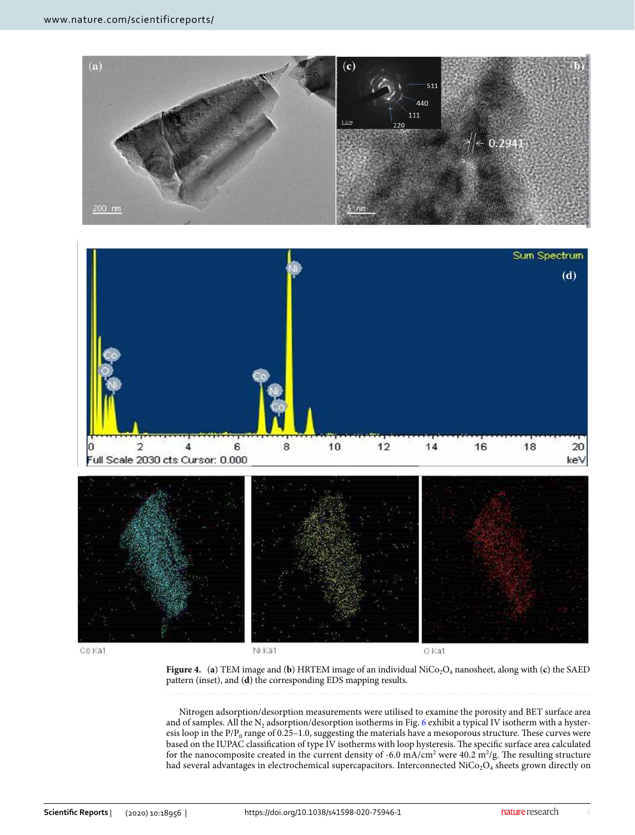



Co Ka1

Ni Ka1

O Ka1

<span id="page-3-0"></span>**Figure 4.** (a) TEM image and (b) HRTEM image of an individual NiCo<sub>2</sub>O<sub>4</sub> nanosheet, along with (c) the SAED pattern (inset), and (**d**) the corresponding EDS mapping results.

Nitrogen adsorption/desorption measurements were utilised to examine the porosity and BET surface area and of samples. All the  $\rm N_2$  adsorption/desorption isotherms in Fig. [6](#page-4-1) exhibit a typical IV isotherm with a hysteresis loop in the  $P/P_0$  range of 0.25–1.0, suggesting the materials have a mesoporous structure. These curves were based on the IUPAC classification of type IV isotherms with loop hysteresis. The specific surface area calculated for the nanocomposite created in the current density of -6.0 mA/cm<sup>2</sup> were 40.2 m<sup>2</sup>/g. The resulting structure had several advantages in electrochemical supercapacitors. Interconnected  $\rm{NiCo_2O_4}$  sheets grown directly on

4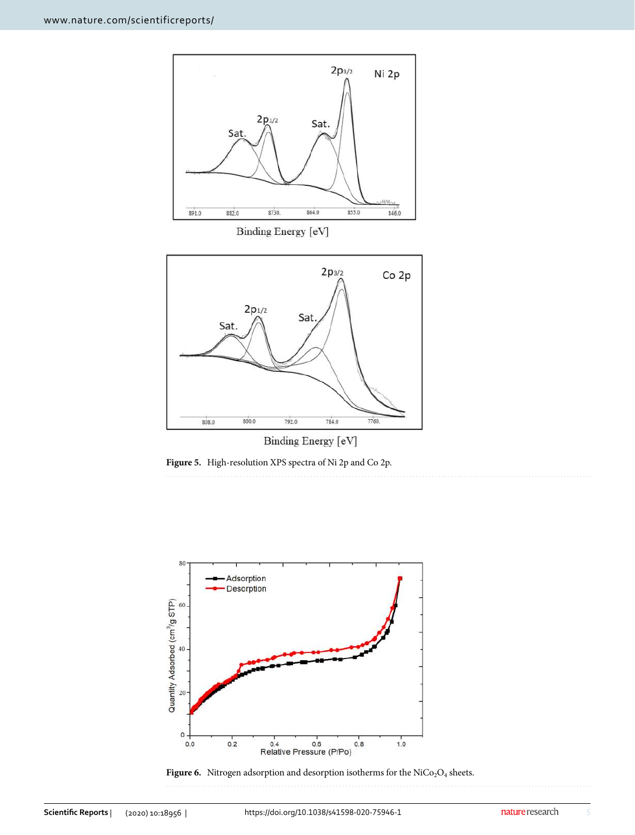

Binding Energy [eV]

<span id="page-4-0"></span>**Figure 5.** High-resolution XPS spectra of Ni 2p and Co 2p.



<span id="page-4-1"></span>**Figure 6.** Nitrogen adsorption and desorption isotherms for the  $\text{NiCo}_2\text{O}_4$  sheets.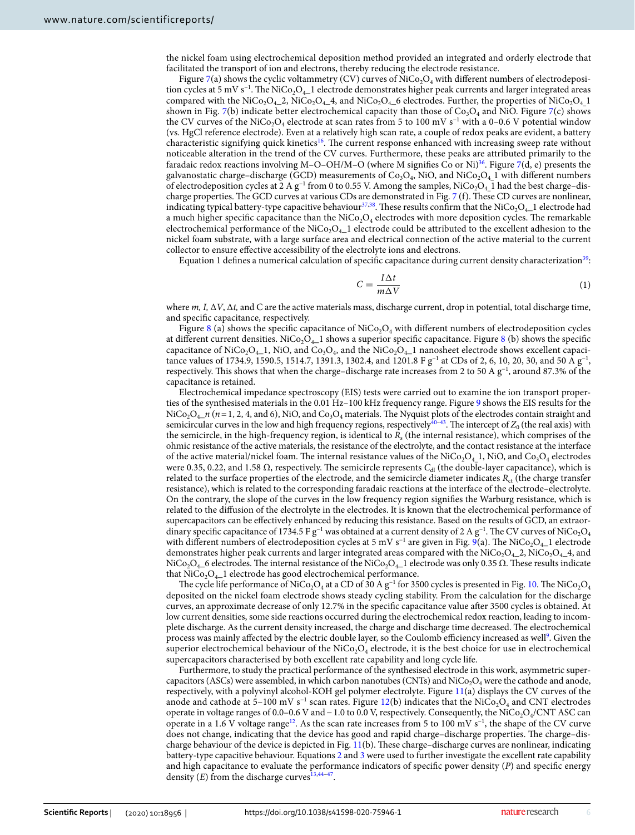the nickel foam using electrochemical deposition method provided an integrated and orderly electrode that facilitated the transport of ion and electrons, thereby reducing the electrode resistance.

Figure [7\(](#page-6-0)a) shows the cyclic voltammetry (CV) curves of  $\mathrm{NiCo}_2\mathrm{O}_4$  with different numbers of electrodeposition cycles at 5 mV s−1. The NiCo2O4\_1 electrode demonstrates higher peak currents and larger integrated areas compared with the NiCo<sub>2</sub>O<sub>4</sub>\_2, NiCo<sub>2</sub>O<sub>4</sub>\_4, and NiCo<sub>2</sub>O<sub>4</sub>\_6 electrodes. Further, the properties of NiCo<sub>2</sub>O<sub>4</sub>\_1</sub> shown in Fig. [7\(](#page-6-0)b) indicate better electrochemical capacity than those of  $Co_3O_4$  and NiO. Figure [7](#page-6-0)(c) shows the CV curves of the NiCo<sub>2</sub>O<sub>4</sub> electrode at scan rates from 5 to 100 mV s<sup>−1</sup> with a 0–0.6 V potential window (vs. HgCl reference electrode). Even at a relatively high scan rate, a couple of redox peaks are evident, a battery characteristic signifying quick kinetics<sup>[16](#page-11-10)</sup>. The current response enhanced with increasing sweep rate without noticeable alteration in the trend of the CV curves. Furthermore, these peaks are attributed primarily to the faradaic redox reactions involving M–O–OH/M–O (where M signifies Co or Ni)<sup>[36](#page-11-26)</sup>. Figure [7](#page-6-0)(d, e) presents the galvanostatic charge–discharge (GCD) measurements of  $Co<sub>3</sub>O<sub>4</sub>$ , NiO, and NiCo<sub>2</sub>O<sub>4</sub> 1 with different numbers of electrodeposition cycles at  $2$  A g<sup>-1</sup> from 0 to 0.55 V. Among the samples, NiCo<sub>2</sub>O<sub>4</sub> 1 had the best charge–discharge properties. The GCD curves at various CDs are demonstrated in Fig. [7](#page-6-0) (f). These CD curves are nonlinear, indicating typical battery-type capacitive behaviour<sup>[37](#page-11-27)[,38](#page-11-28)</sup>. These results confirm that the NiCo<sub>2</sub>O<sub>4</sub>\_1 electrode had a much higher specific capacitance than the  $\rm NiCo_2O_4$  electrodes with more deposition cycles. The remarkable electrochemical performance of the  $\text{NiCo}_2\text{O}_4$  electrode could be attributed to the excellent adhesion to the nickel foam substrate, with a large surface area and electrical connection of the active material to the current collector to ensure effective accessibility of the electrolyte ions and electrons.

Equation 1 defines a numerical calculation of specific capacitance during current density characterization<sup>[39](#page-12-0)</sup>:

$$
C = \frac{I\Delta t}{m\Delta V} \tag{1}
$$

where *m, I,* Δ*V*, Δ*t,* and C are the active materials mass, discharge current, drop in potential, total discharge time, and specific capacitance, respectively.

Figure [8](#page-7-0) (a) shows the specific capacitance of NiCo<sub>2</sub>O<sub>4</sub> with different numbers of electrodeposition cycles at different current densities. NiCo<sub>2</sub>O<sub>4</sub>\_1 shows a superior specific capacitance. Figure [8](#page-7-0) (b) shows the specific capacitance of NiCo<sub>2</sub>O<sub>4–</sub>1, NiO, and Co<sub>3</sub>O<sub>4</sub>, and the NiCo<sub>2</sub>O<sub>4–</sub>1 nanosheet electrode shows excellent capacitance values of 1734.9, 1590.5, 1514.7, 1391.3, 1302.4, and 1201.8 F g<sup>-1</sup> at CDs of 2, 6, 10, 20, 30, and 50 A g<sup>-1</sup>, respectively. This shows that when the charge–discharge rate increases from 2 to 50 A g−1, around 87.3% of the capacitance is retained.

Electrochemical impedance spectroscopy (EIS) tests were carried out to examine the ion transport properties of the synthesised materials in the 0.01 Hz–100 kHz frequency range. Figure [9](#page-8-0) shows the EIS results for the  $\rm NiCo_2O_4$ <sub>—</sub> $n$  ( $n=1,2,4,$  and 6), NiO, and Co<sub>3</sub>O<sub>4</sub> materials. The Nyquist plots of the electrodes contain straight and semicircular curves in the low and high frequency regions, respectively<sup>[40–](#page-12-1)[43](#page-12-2)</sup>. The intercept of  $Z_0$  (the real axis) with the semicircle, in the high-frequency region, is identical to *R*<sup>s</sup> (the internal resistance), which comprises of the ohmic resistance of the active materials, the resistance of the electrolyte, and the contact resistance at the interface of the active material/nickel foam. The internal resistance values of the NiCo<sub>2</sub>O<sub>4</sub> 1, NiO, and Co<sub>3</sub>O<sub>4</sub> electrodes were 0.35, 0.22, and 1.58 Ω, respectively. The semicircle represents  $C_{\rm d}$  (the double-layer capacitance), which is related to the surface properties of the electrode, and the semicircle diameter indicates  $R_{\rm ct}$  (the charge transfer resistance), which is related to the corresponding faradaic reactions at the interface of the electrode–electrolyte. On the contrary, the slope of the curves in the low frequency region signifies the Warburg resistance, which is related to the diffusion of the electrolyte in the electrodes. It is known that the electrochemical performance of supercapacitors can be effectively enhanced by reducing this resistance. Based on the results of GCD, an extraordinary specific capacitance of 1734.5 F g<sup>-1</sup> was obtained at a current density of 2 A g<sup>-1</sup>. The CV curves of NiCo<sub>2</sub>O<sub>4</sub> with different numbers of electrodeposition cycles at 5 mV s<sup>−1</sup> are given in Fig. [9](#page-8-0)(a). The NiCo<sub>2</sub>O<sub>4</sub><sup>-1</sup> electrode demonstrates higher peak currents and larger integrated areas compared with the  $NiCo<sub>2</sub>O<sub>4</sub>$ -2,  $NiCo<sub>2</sub>O<sub>4</sub>$ , and NiCo<sub>2</sub>O<sub>4</sub>\_6 electrodes. The internal resistance of the NiCo<sub>2</sub>O<sub>4</sub>\_1 electrode was only 0.35 Ω. These results indicate that  $NiCo<sub>2</sub>O<sub>4</sub>$  electrode has good electrochemical performance.

The cycle life performance of NiCo<sub>2</sub>O<sub>4</sub> at a CD of 30 A g<sup>-1</sup> for 3500 cycles is presented in Fig. [10](#page-8-1). The NiCo<sub>2</sub>O<sub>4</sub> deposited on the nickel foam electrode shows steady cycling stability. From the calculation for the discharge curves, an approximate decrease of only 12.7% in the specific capacitance value after 3500 cycles is obtained. At low current densities, some side reactions occurred during the electrochemical redox reaction, leading to incomplete discharge. As the current density increased, the charge and discharge time decreased. The electrochemical process was mainly affected by the electric double layer, so the Coulomb efficiency increased as well<sup>[9](#page-11-5)</sup>. Given the superior electrochemical behaviour of the  $\rm NiCo_2O_4$  electrode, it is the best choice for use in electrochemical supercapacitors characterised by both excellent rate capability and long cycle life.

Furthermore, to study the practical performance of the synthesised electrode in this work, asymmetric supercapacitors (ASCs) were assembled, in which carbon nanotubes (CNTs) and  $\rm NiCo_2O_4$  were the cathode and anode, respectively, with a polyvinyl alcohol-KOH gel polymer electrolyte. Figure [11\(](#page-9-0)a) displays the CV curves of the anode and cathode at 5–100 mV s<sup>-1</sup> scan rates. Figure [12\(](#page-10-0)b) indicates that the NiCo<sub>2</sub>O<sub>4</sub> and CNT electrodes operate in voltage ranges of 0.0–0.6 V and – 1.0 to 0.0 V, respectively. Consequently, the NiCo<sub>2</sub>O<sub>4</sub>/CNT ASC can operate in a 1.6 V voltage range<sup>[12](#page-11-29)</sup>. As the scan rate increases from 5 to 100 mV s<sup>−1</sup>, the shape of the CV curve does not change, indicating that the device has good and rapid charge–discharge properties. The charge–discharge behaviour of the device is depicted in Fig. [11\(](#page-9-0)b). These charge–discharge curves are nonlinear, indicating battery-type capacitive behaviour. Equations [2](#page-7-1) and [3](#page-7-2) were used to further investigate the excellent rate capability and high capacitance to evaluate the performance indicators of specific power density (*P*) and specific energy density  $(E)$  from the discharge curves<sup>[13,](#page-11-7)44-[47](#page-12-4)</sup>.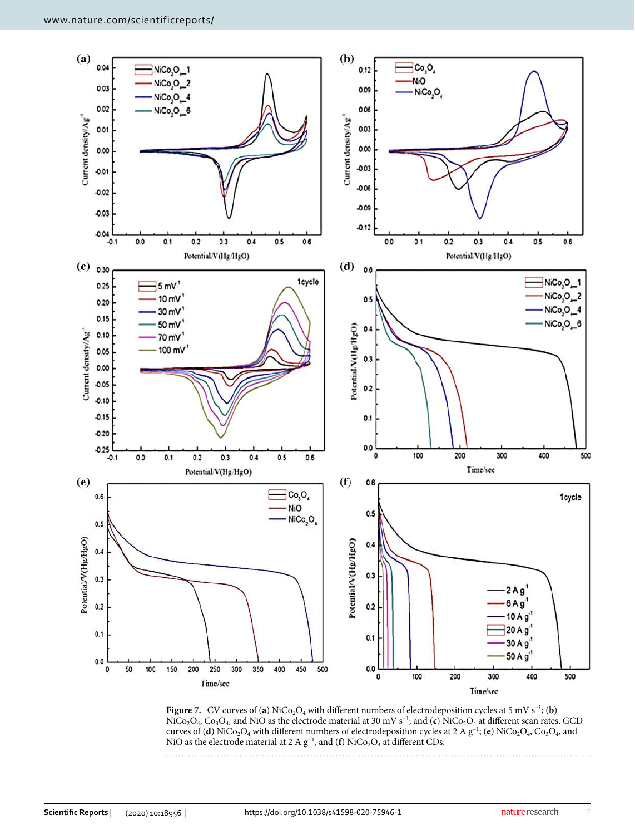

<span id="page-6-0"></span>**Figure 7.** CV curves of (**a**) NiCo<sub>2</sub>O<sub>4</sub> with different numbers of electrodeposition cycles at 5 mV s<sup>-1</sup>; (**b**) NiCo<sub>2</sub>O<sub>4</sub>, Co<sub>3</sub>O<sub>4</sub>, and NiO as the electrode material at 30 mV s<sup>-1</sup>; and (**c**) NiCo<sub>2</sub>O<sub>4</sub> at different scan rates. GCD curves of (**d**) NiCo<sub>2</sub>O<sub>4</sub> with different numbers of electrodeposition cycles at 2 A g<sup>−1</sup>; (**e**) NiCo<sub>2</sub>O<sub>4</sub>, Co<sub>3</sub>O<sub>4</sub>, and NiO as the electrode material at 2 A  $g^{-1}$ , and (**f**) NiCo<sub>2</sub>O<sub>4</sub> at different CDs.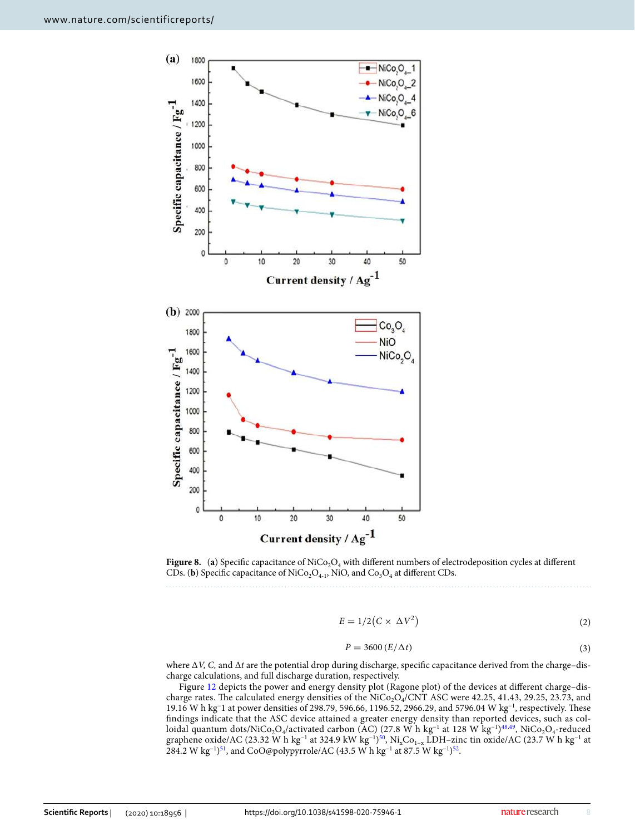

<span id="page-7-0"></span>**Figure 8.** (a) Specific capacitance of  $\text{NiCo}_2\text{O}_4$  with different numbers of electrodeposition cycles at different CDs. (**b**) Specific capacitance of  $\text{NiCo}_2\text{O}_{4-1}$ , NiO, and  $\text{Co}_3\text{O}_4$  at different CDs.

$$
E = 1/2(C \times \Delta V^2)
$$
 (2)

<span id="page-7-2"></span><span id="page-7-1"></span>
$$
P = 3600 (E/\Delta t) \tag{3}
$$

where Δ*V, C,* and Δ*t* are the potential drop during discharge, specific capacitance derived from the charge–discharge calculations, and full discharge duration, respectively.

Figure [12](#page-10-0) depicts the power and energy density plot (Ragone plot) of the devices at different charge–discharge rates. The calculated energy densities of the  $\rm NiCo_2O_4/CNT$  ASC were 42.25, 41.43, 29.25, 23.73, and 19.16 W h kg<sup>−</sup>1 at power densities of 298.79, 596.66, 1196.52, 2966.29, and 5796.04 W kg−1, respectively. These findings indicate that the ASC device attained a greater energy density than reported devices, such as col-loidal quantum dots/NiCo<sub>2</sub>O4/activated carbon (AC) (27.8 W h kg<sup>−1</sup> at 128 W kg<sup>−1</sup>)<sup>[48](#page-12-5),[49](#page-12-6)</sup>, NiCo<sub>2</sub>O<sub>4</sub>-reduced graphene oxide/AC (23.32 W h kg<sup>−1</sup> at 324.9 kW kg<sup>−1)[50](#page-12-7)</sup>, Ni<sub>x</sub>Co<sub>1−x</sub> LDH−zinc tin oxide/AC (23.7 W h kg<sup>−1</sup> at 284.2 W kg<sup>-1</sup>)<sup>[51](#page-12-8)</sup>, and CoO@polypyrrole/AC (43.5 W h kg<sup>-1</sup> at 87.5 W kg<sup>-1</sup>)<sup>[52](#page-12-9)</sup>.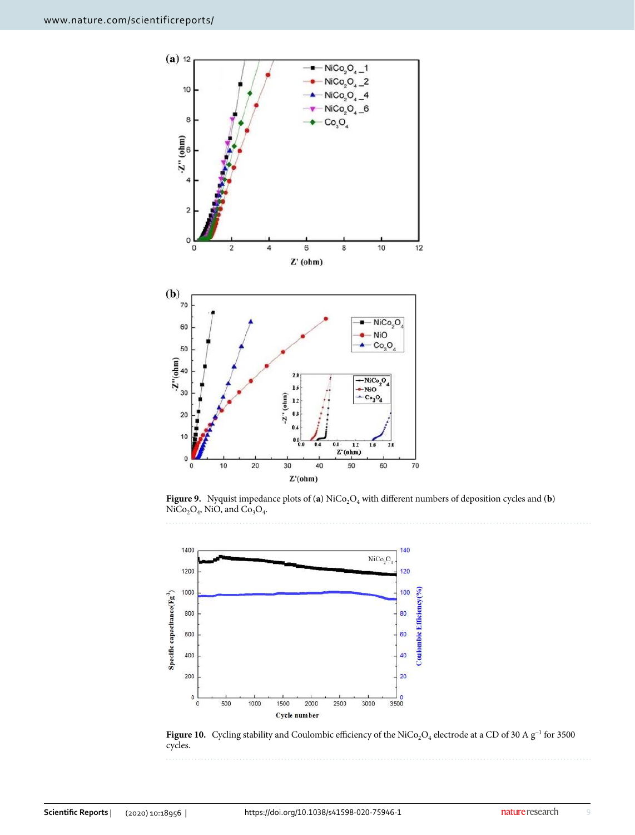

<span id="page-8-0"></span>**Figure 9.** Nyquist impedance plots of (**a**) NiCo<sub>2</sub>O<sub>4</sub> with different numbers of deposition cycles and (**b**)  $NiCo<sub>2</sub>O<sub>4</sub>$ , NiO, and  $Co<sub>3</sub>O<sub>4</sub>$ .



<span id="page-8-1"></span>Figure 10. Cycling stability and Coulombic efficiency of the NiCo<sub>2</sub>O<sub>4</sub> electrode at a CD of 30 A  $g^{-1}$  for 3500 cycles.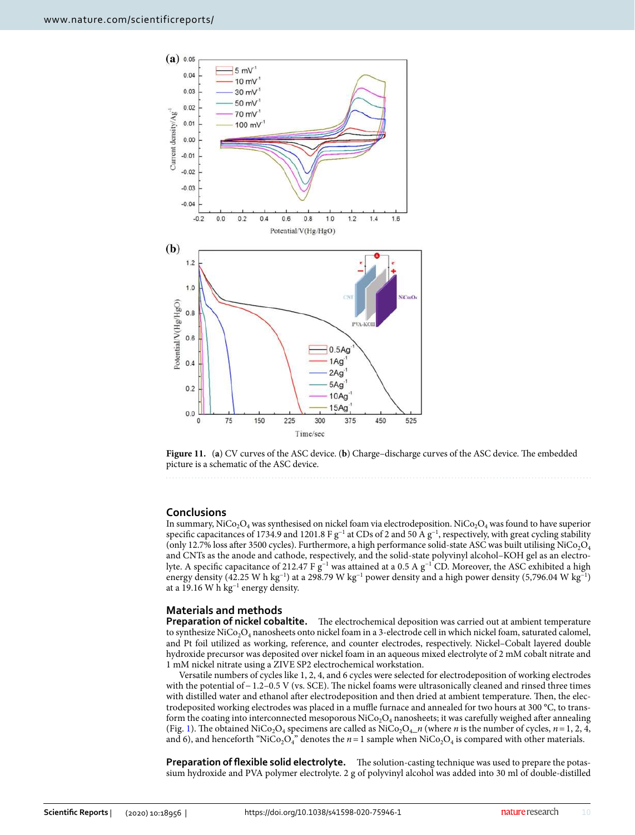

<span id="page-9-0"></span>**Figure 11.** (**a**) CV curves of the ASC device. (**b**) Charge–discharge curves of the ASC device. The embedded picture is a schematic of the ASC device.

### **Conclusions**

In summary, NiCo<sub>2</sub>O<sub>4</sub> was synthesised on nickel foam via electrodeposition. NiCo<sub>2</sub>O<sub>4</sub> was found to have superior specific capacitances of 1734.9 and 1201.8 F g<sup>-1</sup> at CDs of 2 and 50 A g<sup>-1</sup>, respectively, with great cycling stability (only 12.7% loss after 3500 cycles). Furthermore, a high performance solid-state ASC was built utilising NiCo<sub>2</sub>O<sub>4</sub> and CNTs as the anode and cathode, respectively, and the solid-state polyvinyl alcohol–KOH gel as an electrolyte. A specific capacitance of 212.47 F g−1 was attained at a 0.5 A g−1 CD. Moreover, the ASC exhibited a high energy density (42.25 W h kg−1) at a 298.79 W kg−1 power density and a high power density (5,796.04 W kg−1) at a 19.16 W h kg−1 energy density.

# **Materials and methods**

**Preparation of nickel cobaltite.** The electrochemical deposition was carried out at ambient temperature to synthesize  $\rm{NiCo_2O_4}$  nanosheets onto nickel foam in a 3-electrode cell in which nickel foam, saturated calomel, and Pt foil utilized as working, reference, and counter electrodes, respectively. Nickel–Cobalt layered double hydroxide precursor was deposited over nickel foam in an aqueous mixed electrolyte of 2 mM cobalt nitrate and 1 mM nickel nitrate using a ZIVE SP2 electrochemical workstation.

Versatile numbers of cycles like 1, 2, 4, and 6 cycles were selected for electrodeposition of working electrodes with the potential of − 1.2–0.5 V (vs. SCE). The nickel foams were ultrasonically cleaned and rinsed three times with distilled water and ethanol after electrodeposition and then dried at ambient temperature. Then, the electrodeposited working electrodes was placed in a muffle furnace and annealed for two hours at 300 °C, to transform the coating into interconnected mesoporous  $\rm{NiCo_2O_4}$  nanosheets; it was carefully weighed after annealing (Fig. [1\)](#page-1-0). The obtained NiCo<sub>2</sub>O<sub>4</sub> specimens are called as NiCo<sub>2</sub>O<sub>4</sub>\_*n* (where *n* is the number of cycles, *n* = 1, 2, 4, and 6), and henceforth "NiCo<sub>2</sub>O<sub>4</sub>" denotes the  $n=1$  sample when NiCo<sub>2</sub>O<sub>4</sub> is compared with other materials.

**Preparation of flexible solid electrolyte.** The solution-casting technique was used to prepare the potassium hydroxide and PVA polymer electrolyte. 2 g of polyvinyl alcohol was added into 30 ml of double-distilled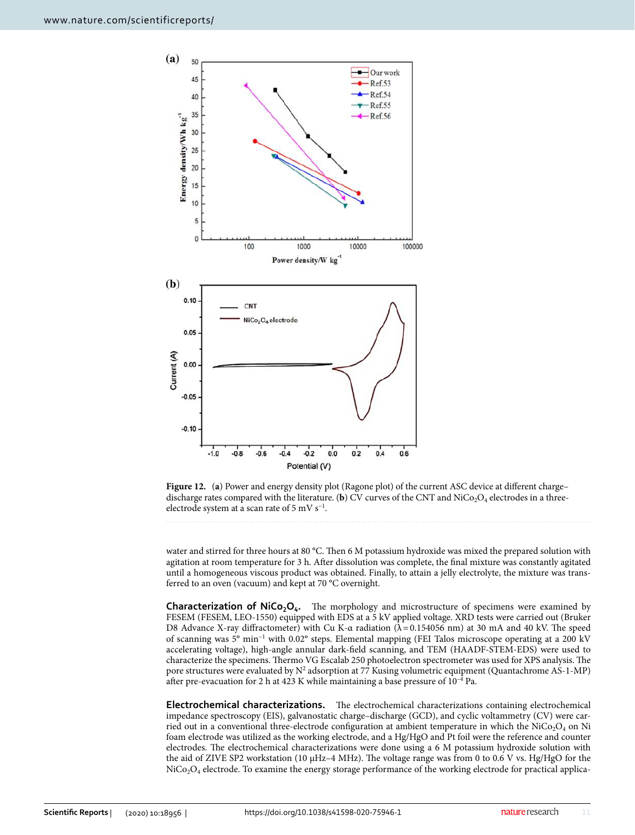

<span id="page-10-0"></span>

water and stirred for three hours at 80 °C. Then 6 M potassium hydroxide was mixed the prepared solution with agitation at room temperature for 3 h. After dissolution was complete, the final mixture was constantly agitated until a homogeneous viscous product was obtained. Finally, to attain a jelly electrolyte, the mixture was transferred to an oven (vacuum) and kept at 70 °C overnight.

**Characterization of NiCo2O<sup>4</sup> .** The morphology and microstructure of specimens were examined by FESEM (FESEM, LEO-1550) equipped with EDS at a 5 kV applied voltage. XRD tests were carried out (Bruker D8 Advance X-ray diffractometer) with Cu K- $\alpha$  radiation ( $\lambda$  = 0.154056 nm) at 30 mA and 40 kV. The speed of scanning was 5° min−1 with 0.02° steps. Elemental mapping (FEI Talos microscope operating at a 200 kV accelerating voltage), high-angle annular dark-field scanning, and TEM (HAADF-STEM-EDS) were used to characterize the specimens. Thermo VG Escalab 250 photoelectron spectrometer was used for XPS analysis. The pore structures were evaluated by  $N^2$  adsorption at 77 Kusing volumetric equipment (Quantachrome AS-1-MP) after pre-evacuation for 2 h at 423 K while maintaining a base pressure of 10–4 Pa.

**Electrochemical characterizations.** The electrochemical characterizations containing electrochemical impedance spectroscopy (EIS), galvanostatic charge–discharge (GCD), and cyclic voltammetry (CV) were carried out in a conventional three-electrode configuration at ambient temperature in which the  $\rm NiCo_2O_4$  on  $\rm Ni$ foam electrode was utilized as the working electrode, and a Hg/HgO and Pt foil were the reference and counter electrodes. The electrochemical characterizations were done using a 6 M potassium hydroxide solution with the aid of ZIVE SP2 workstation (10 μHz–4 MHz). The voltage range was from 0 to 0.6 V vs. Hg/HgO for the  $\rm NiCo_2O_4$  electrode. To examine the energy storage performance of the working electrode for practical applica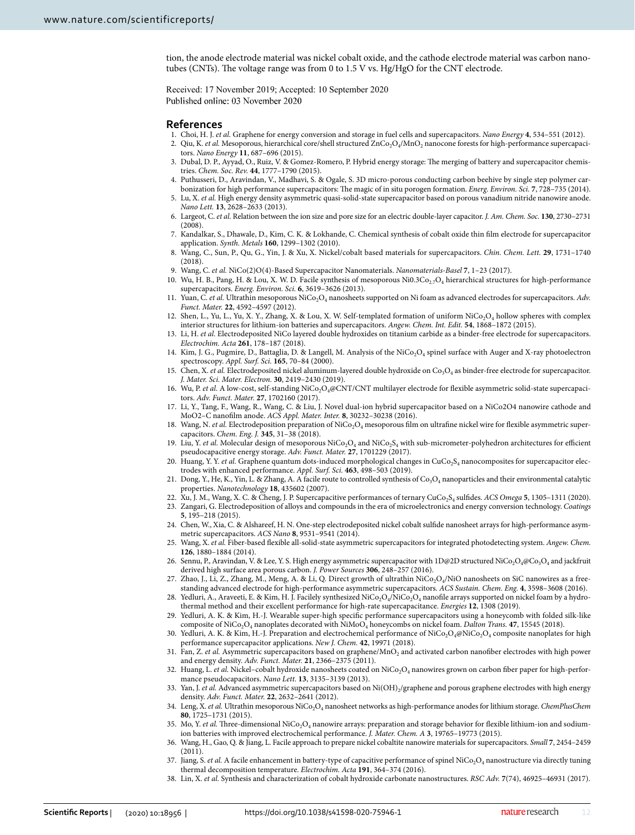tion, the anode electrode material was nickel cobalt oxide, and the cathode electrode material was carbon nanotubes (CNTs). The voltage range was from 0 to 1.5 V vs. Hg/HgO for the CNT electrode.

Received: 17 November 2019; Accepted: 10 September 2020

#### <span id="page-11-0"></span>**References**

- <span id="page-11-29"></span><span id="page-11-10"></span><span id="page-11-9"></span><span id="page-11-8"></span><span id="page-11-7"></span><span id="page-11-6"></span><span id="page-11-5"></span><span id="page-11-4"></span><span id="page-11-3"></span><span id="page-11-2"></span><span id="page-11-1"></span> 1. Choi, H. J. *et al.* Graphene for energy conversion and storage in fuel cells and supercapacitors. *Nano Energy* **4**, 534–551 (2012).
	- 2. Qiu, K. *et al.* Mesoporous, hierarchical core/shell structured  $ZnCo_2O_4/MnO_2$  nanocone forests for high-performance supercapacitors. *Nano Energy* **11**, 687–696 (2015).
	- 3. Dubal, D. P., Ayyad, O., Ruiz, V. & Gomez-Romero, P. Hybrid energy storage: The merging of battery and supercapacitor chemistries. *Chem. Soc. Rev.* **44**, 1777–1790 (2015).
	- 4. Puthusseri, D., Aravindan, V., Madhavi, S. & Ogale, S. 3D micro-porous conducting carbon beehive by single step polymer carbonization for high performance supercapacitors: The magic of in situ porogen formation. *Energ. Environ. Sci.* **7**, 728–735 (2014).
	- 5. Lu, X. *et al.* High energy density asymmetric quasi-solid-state supercapacitor based on porous vanadium nitride nanowire anode. *Nano Lett.* **13**, 2628–2633 (2013).
	- 6. Largeot, C. *et al.* Relation between the ion size and pore size for an electric double-layer capacitor. *J. Am. Chem. Soc.* **130**, 2730–2731  $(2008)$ .
	- 7. Kandalkar, S., Dhawale, D., Kim, C. K. & Lokhande, C. Chemical synthesis of cobalt oxide thin film electrode for supercapacitor application. *Synth. Metals* **160**, 1299–1302 (2010).
	- 8. Wang, C., Sun, P., Qu, G., Yin, J. & Xu, X. Nickel/cobalt based materials for supercapacitors. *Chin. Chem. Lett.* **29**, 1731–1740  $(2018)$ .
	- 9. Wang, C. *et al.* NiCo(2)O(4)-Based Supercapacitor Nanomaterials. *Nanomaterials-Basel* **7**, 1–23 (2017).
	- 10. Wu, H. B., Pang, H. & Lou, X. W. D. Facile synthesis of mesoporous  $Ni0.3Co_{2.7}O_4$  hierarchical structures for high-performance supercapacitors. *Energ. Environ. Sci.* **6**, 3619–3626 (2013).
	- 11. Yuan, C. *et al.* Ultrathin mesoporous NiCo<sub>2</sub>O<sub>4</sub> nanosheets supported on Ni foam as advanced electrodes for supercapacitors. *Adv. Funct. Mater.* **22**, 4592–4597 (2012).
	- 12. Shen, L., Yu, L., Yu, X. Y., Zhang, X. & Lou, X. W. Self-templated formation of uniform  $NiCo<sub>2</sub>O<sub>4</sub>$  hollow spheres with complex interior structures for lithium-ion batteries and supercapacitors. *Angew. Chem. Int. Edit.* **54**, 1868–1872 (2015).
	- 13. Li, H. *et al.* Electrodeposited NiCo layered double hydroxides on titanium carbide as a binder-free electrode for supercapacitors. *Electrochim. Acta* **261**, 178–187 (2018).
	- 14. Kim, J. G., Pugmire, D., Battaglia, D. & Langell, M. Analysis of the NiCo<sub>2</sub>O<sub>4</sub> spinel surface with Auger and X-ray photoelectron spectroscopy. *Appl. Surf. Sci.* **165**, 70–84 (2000).
	- 15. Chen, X. *et al.* Electrodeposited nickel aluminum-layered double hydroxide on  $Co<sub>3</sub>O<sub>4</sub>$  as binder-free electrode for supercapacitor. *J. Mater. Sci. Mater. Electron.* **30**, 2419–2430 (2019).
	- 16. Wu, P. et al. A low-cost, self-standing NiCo<sub>2</sub>O<sub>4</sub>@CNT/CNT multilayer electrode for flexible asymmetric solid-state supercapacitors. *Adv. Funct. Mater.* **27**, 1702160 (2017).
	- 17. Li, Y., Tang, F., Wang, R., Wang, C. & Liu, J. Novel dual-ion hybrid supercapacitor based on a NiCo2O4 nanowire cathode and MoO2–C nanofilm anode. *ACS Appl. Mater. Inter.* **8**, 30232–30238 (2016).
	- 18. Wang, N. *et al.* Electrodeposition preparation of NiCo<sub>2</sub>O<sub>4</sub> mesoporous film on ultrafine nickel wire for flexible asymmetric supercapacitors. *Chem. Eng. J.* **345**, 31–38 (2018).
	- 19. Liu, Y. *et al.* Molecular design of mesoporous NiCo<sub>2</sub>O<sub>4</sub> and NiCo<sub>2</sub>S<sub>4</sub> with sub-micrometer-polyhedron architectures for efficient pseudocapacitive energy storage. *Adv. Funct. Mater.* **27**, 1701229 (2017).
	- 20. Huang, Y. Y. *et al*. Graphene quantum dots-induced morphological changes in CuCo<sub>2</sub>S<sub>4</sub> nanocomposites for supercapacitor electrodes with enhanced performance. *Appl. Surf. Sci.* **463**, 498–503 (2019).
	- 21. Dong, Y., He, K., Yin, L. & Zhang, A. A facile route to controlled synthesis of  $Co_3O_4$  nanoparticles and their environmental catalytic properties. *Nanotechnology* **18**, 435602 (2007).
	- 22. Xu, J. M., Wang, X. C. & Cheng, J. P. Supercapacitive performances of ternary CuCo<sub>2</sub>S<sub>4</sub> sulfides. *ACS Omega* 5, 1305-1311 (2020).
	- 23. Zangari, G. Electrodeposition of alloys and compounds in the era of microelectronics and energy conversion technology. *Coatings* **5**, 195–218 (2015).
	- 24. Chen, W., Xia, C. & Alshareef, H. N. One-step electrodeposited nickel cobalt sulfide nanosheet arrays for high-performance asymmetric supercapacitors. *ACS Nano* **8**, 9531–9541 (2014).
	- 25. Wang, X. *et al.* Fiber-based flexible all-solid-state asymmetric supercapacitors for integrated photodetecting system. *Angew. Chem.* **126**, 1880–1884 (2014).
	- 26. Sennu, P., Aravindan, V. & Lee, Y. S. High energy asymmetric supercapacitor with  $1D@2D$  structured NiCo<sub>2</sub>O<sub>4</sub>@Co<sub>3</sub>O<sub>4</sub> and jackfruit derived high surface area porous carbon. *J. Power Sources* **306**, 248–257 (2016).
	- 27. Zhao, J., Li, Z., Zhang, M., Meng, A. & Li, Q. Direct growth of ultrathin  $\rm{NiCo_2O_4/NiO}$  nanosheets on SiC nanowires as a freestanding advanced electrode for high-performance asymmetric supercapacitors. *ACS Sustain. Chem. Eng.* **4**, 3598–3608 (2016).
	- 28. Yedluri, A., Araveeti, E. & Kim, H. J. Facilely synthesized NiCo<sub>2</sub>O<sub>4</sub>/NiCo<sub>2</sub>O<sub>4</sub> nanofile arrays supported on nickel foam by a hydrothermal method and their excellent performance for high-rate supercapacitance. *Energies* **12**, 1308 (2019).
	- 29. Yedluri, A. K. & Kim, H.-J. Wearable super-high specific performance supercapacitors using a honeycomb with folded silk-like composite of NiCo<sub>2</sub>O<sub>4</sub> nanoplates decorated with NiMoO<sub>4</sub> honeycombs on nickel foam. *Dalton Trans*. **47**, 15545 (2018).
	- 30. Yedluri, A. K. & Kim, H.-J. Preparation and electrochemical performance of  $\rm{NiCo_2O_4}$   $\rm{eNiCo_2O_4}$  composite nanoplates for high performance supercapacitor applications. *New J. Chem.* **42**, 19971 (2018).
	- 31. Fan, Z. et al. Asymmetric supercapacitors based on graphene/MnO<sub>2</sub> and activated carbon nanofiber electrodes with high power and energy density. *Adv. Funct. Mater.* **21**, 2366–2375 (2011).
- <span id="page-11-22"></span><span id="page-11-21"></span><span id="page-11-20"></span><span id="page-11-19"></span><span id="page-11-18"></span><span id="page-11-17"></span><span id="page-11-16"></span><span id="page-11-15"></span><span id="page-11-14"></span><span id="page-11-13"></span><span id="page-11-12"></span><span id="page-11-11"></span>32. Huang, L. et al. Nickel-cobalt hydroxide nanosheets coated on NiCo<sub>2</sub>O<sub>4</sub> nanowires grown on carbon fiber paper for high-performance pseudocapacitors. *Nano Lett.* **13**, 3135–3139 (2013).
- <span id="page-11-23"></span>33. Yan, J. et al. Advanced asymmetric supercapacitors based on Ni(OH)<sub>2</sub>/graphene and porous graphene electrodes with high energy density. *Adv. Funct. Mater.* **22**, 2632–2641 (2012).
- <span id="page-11-24"></span>34. Leng, X. *et al.* Ultrathin mesoporous NiCo<sub>2</sub>O<sub>4</sub> nanosheet networks as high-performance anodes for lithium storage. ChemPlusChem **80**, 1725–1731 (2015).
- <span id="page-11-25"></span>35. Mo, Y. *et al.* Three-dimensional NiCo<sub>2</sub>O<sub>4</sub> nanowire arrays: preparation and storage behavior for flexible lithium-ion and sodiumion batteries with improved electrochemical performance. *J. Mater. Chem. A* **3**, 19765–19773 (2015).
- <span id="page-11-26"></span> 36. Wang, H., Gao, Q. & Jiang, L. Facile approach to prepare nickel cobaltite nanowire materials for supercapacitors. *Small* **7**, 2454–2459 (2011).
- <span id="page-11-27"></span>37. Jiang, S. *et al.* A facile enhancement in battery-type of capacitive performance of spinel NiCo<sub>2</sub>O<sub>4</sub> nanostructure via directly tuning thermal decomposition temperature. *Electrochim. Acta* **191**, 364–374 (2016).
- <span id="page-11-28"></span>38. Lin, X. *et al.* Synthesis and characterization of cobalt hydroxide carbonate nanostructures. *RSC Adv.* **7**(74), 46925–46931 (2017).